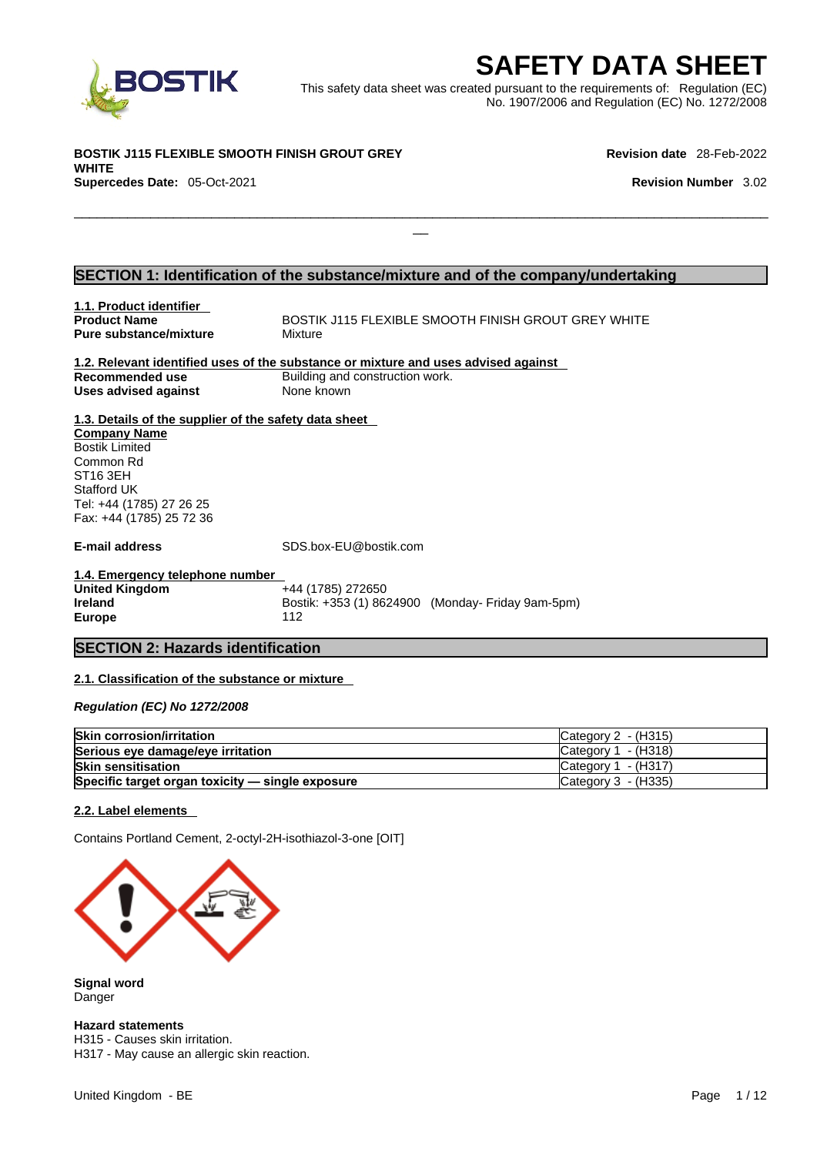

EXECRETY DATA SHEET<br>
Et was created pursuant to the requirements of: Regulation (EC)<br>
No. 1907/2006 and Regulation (EC) No. 1272/2008<br>
Revision date 28-Feb-2022<br>
Revision Number 3.02 This safety data sheet was created pursuant to the requirements of: Regulation (EC) No. 1907/2006 and Regulation (EC) No. 1272/2008

 $\Box$ 

**BOSTIK J115 FLEXIBLE SMOOTH FINISH GROUT GREY WHITE Supercedes Date:** 05-Oct-2021 **Revision Number** 3.02

**Revision date** 28-Feb-2022

### **SECTION 1: Identification of the substance/mixture and of the company/undertaking**

| 1.1. Product identifier                               |                                                                                    |
|-------------------------------------------------------|------------------------------------------------------------------------------------|
| <b>Product Name</b>                                   | BOSTIK J115 FLEXIBLE SMOOTH FINISH GROUT GREY WHITE                                |
| <b>Pure substance/mixture</b>                         | Mixture                                                                            |
|                                                       | 1.2. Relevant identified uses of the substance or mixture and uses advised against |
| Recommended use                                       | Building and construction work.                                                    |
| Uses advised against                                  | None known                                                                         |
| 1.3. Details of the supplier of the safety data sheet |                                                                                    |
| <b>Company Name</b>                                   |                                                                                    |
| <b>Bostik Limited</b>                                 |                                                                                    |
| Common Rd                                             |                                                                                    |
| ST <sub>16</sub> 3EH                                  |                                                                                    |
| <b>Stafford UK</b>                                    |                                                                                    |
| Tel: +44 (1785) 27 26 25                              |                                                                                    |
| Fax: +44 (1785) 25 72 36                              |                                                                                    |
| E-mail address                                        | SDS.box-EU@bostik.com                                                              |
| 1.4. Emergency telephone number                       |                                                                                    |
| <b>United Kingdom</b>                                 | +44 (1785) 272650                                                                  |
| <b>Ireland</b>                                        | Bostik: +353 (1) 8624900 (Monday- Friday 9am-5pm)                                  |
| <b>Europe</b>                                         | 112                                                                                |
|                                                       |                                                                                    |
| <b>SECTION 2: Hazards identification</b>              |                                                                                    |
|                                                       |                                                                                    |

### **2.1. Classification of the substance or mixture**

*Regulation (EC) No 1272/2008* 

| <b>Skin corrosion/irritation</b>                 | Category $2 - (H315)$           |
|--------------------------------------------------|---------------------------------|
| Serious eye damage/eye irritation                | ICategory 1 - (H318)            |
| <b>Skin sensitisation</b>                        | $\textsf{C}$ ategory 1 - (H317) |
| Specific target organ toxicity - single exposure | Category 3 - (H335)             |

#### **2.2. Label elements**

Contains Portland Cement, 2-octyl-2H-isothiazol-3-one [OIT]



**Signal word** Danger

**Hazard statements**

H315 - Causes skin irritation. H317 - May cause an allergic skin reaction.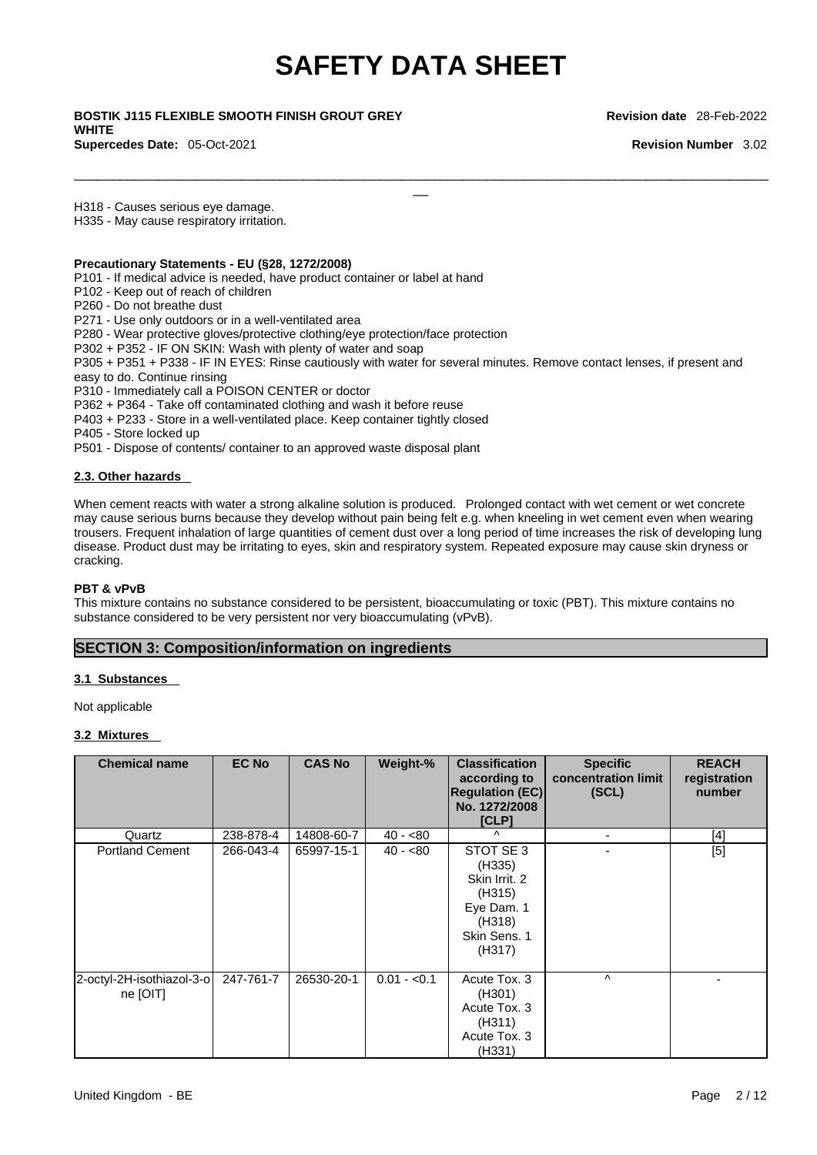$\Box$ 

\_\_ **BOSTIK J115 FLEXIBLE SMOOTH FINISH GROUT GREY WHITE Supercedes Date:** 05-Oct-2021 **Revision Number** 3.02

**Revision date** 28-Feb-2022

H318 - Causes serious eye damage.

H335 - May cause respiratory irritation.

#### **Precautionary Statements - EU (§28, 1272/2008)**

P101 - If medical advice is needed, have product container or label at hand

- P102 Keep out of reach of children
- P260 Do not breathe dust

P271 - Use only outdoors or in a well-ventilated area

P280 - Wear protective gloves/protective clothing/eye protection/face protection

P302 + P352 - IF ON SKIN: Wash with plenty of water and soap

P305 + P351 + P338 - IF IN EYES: Rinse cautiously with water for several minutes. Remove contact lenses, if present and easy to do. Continue rinsing

P310 - Immediately call a POISON CENTER or doctor

P362 + P364 - Take off contaminated clothing and wash it before reuse

P403 + P233 - Store in a well-ventilated place. Keep container tightly closed

P405 - Store locked up

P501 - Dispose of contents/ container to an approved waste disposal plant

#### **2.3. Other hazards**

When cement reacts with water a strong alkaline solution is produced. Prolonged contact with wet cement or wet concrete may cause serious burns because they develop without pain being felt e.g. when kneeling in wet cement even when wearing trousers. Frequent inhalation of large quantities of cement dust over a long period of time increases the risk of developing lung disease. Product dust may be irritating to eyes, skin and respiratory system. Repeated exposure may cause skin dryness or cracking.

#### **PBT & vPvB**

This mixture contains no substance considered to be persistent, bioaccumulating or toxic (PBT). This mixture contains no substance considered to be very persistent nor very bioaccumulating (vPvB).

### **SECTION 3: Composition/information on ingredients**

#### **3.1 Substances**

Not applicable

#### **3.2 Mixtures**

| <b>Chemical name</b>                  | <b>EC No</b> | <b>CAS No</b> | Weight-%     | <b>Classification</b><br>according to<br><b>Regulation (EC)</b><br>No. 1272/2008<br>[CLP]        | <b>Specific</b><br>concentration limit<br>(SCL) | <b>REACH</b><br>registration<br>number |
|---------------------------------------|--------------|---------------|--------------|--------------------------------------------------------------------------------------------------|-------------------------------------------------|----------------------------------------|
| Quartz                                | 238-878-4    | 14808-60-7    | $40 - 80$    | $\lambda$                                                                                        | $\blacksquare$                                  | $[4]$                                  |
| <b>Portland Cement</b>                | 266-043-4    | 65997-15-1    | $40 - 80$    | STOT SE 3<br>(H335)<br>Skin Irrit. 2<br>(H315)<br>Eye Dam. 1<br>(H318)<br>Skin Sens. 1<br>(H317) |                                                 | $[5]$                                  |
| 2-octyl-2H-isothiazol-3-o<br>ne [OIT] | 247-761-7    | 26530-20-1    | $0.01 - 0.1$ | Acute Tox. 3<br>(H301)<br>Acute Tox. 3<br>(H311)<br>Acute Tox. 3<br>(H331)                       | $\wedge$                                        |                                        |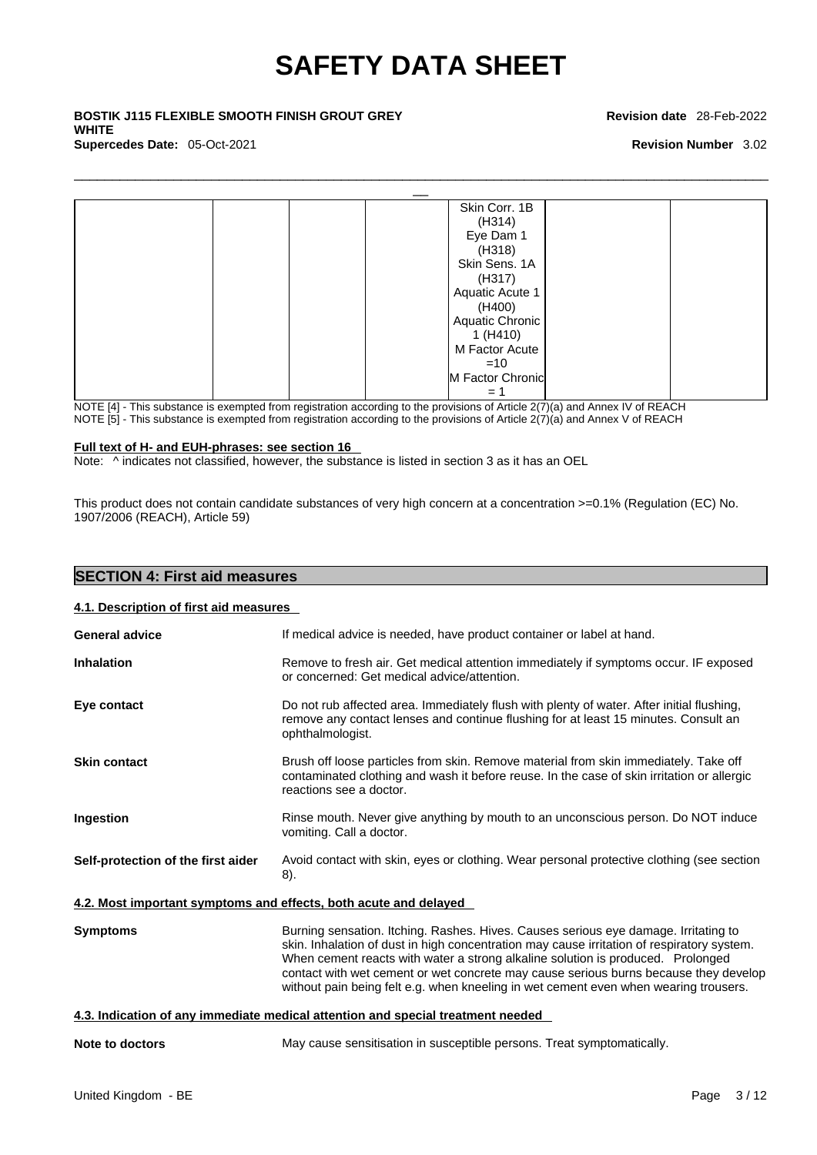\_\_ **BOSTIK J115 FLEXIBLE SMOOTH FINISH GROUT GREY WHITE Supercedes Date:** 05-Oct-2021 **Revision Number** 3.02

#### **Revision date** 28-Feb-2022



NOTE [4] - This substance is exempted from registration according to the provisions of Article 2(7)(a) and Annex IV of REACH

NOTE [5] - This substance is exempted from registration according to the provisions of Article  $2(7)(a)$  and Annex V of REACH

### **Full text of H- and EUH-phrases: see section 16**

Note:  $\wedge$  indicates not classified, however, the substance is listed in section 3 as it has an OEL

This product does not contain candidate substances of very high concern at a concentration >=0.1% (Regulation (EC) No. 1907/2006 (REACH), Article 59)

| <b>SECTION 4: First aid measures</b>   |                                                                                                                                                                                                                                                                                                                                                                                                                                                      |
|----------------------------------------|------------------------------------------------------------------------------------------------------------------------------------------------------------------------------------------------------------------------------------------------------------------------------------------------------------------------------------------------------------------------------------------------------------------------------------------------------|
| 4.1. Description of first aid measures |                                                                                                                                                                                                                                                                                                                                                                                                                                                      |
| <b>General advice</b>                  | If medical advice is needed, have product container or label at hand.                                                                                                                                                                                                                                                                                                                                                                                |
| <b>Inhalation</b>                      | Remove to fresh air. Get medical attention immediately if symptoms occur. IF exposed<br>or concerned: Get medical advice/attention.                                                                                                                                                                                                                                                                                                                  |
| Eye contact                            | Do not rub affected area. Immediately flush with plenty of water. After initial flushing,<br>remove any contact lenses and continue flushing for at least 15 minutes. Consult an<br>ophthalmologist.                                                                                                                                                                                                                                                 |
| <b>Skin contact</b>                    | Brush off loose particles from skin. Remove material from skin immediately. Take off<br>contaminated clothing and wash it before reuse. In the case of skin irritation or allergic<br>reactions see a doctor.                                                                                                                                                                                                                                        |
| <b>Ingestion</b>                       | Rinse mouth. Never give anything by mouth to an unconscious person. Do NOT induce<br>vomiting. Call a doctor.                                                                                                                                                                                                                                                                                                                                        |
| Self-protection of the first aider     | Avoid contact with skin, eyes or clothing. Wear personal protective clothing (see section<br>8).                                                                                                                                                                                                                                                                                                                                                     |
|                                        | 4.2. Most important symptoms and effects, both acute and delayed                                                                                                                                                                                                                                                                                                                                                                                     |
| <b>Symptoms</b>                        | Burning sensation. Itching. Rashes. Hives. Causes serious eye damage. Irritating to<br>skin. Inhalation of dust in high concentration may cause irritation of respiratory system.<br>When cement reacts with water a strong alkaline solution is produced. Prolonged<br>contact with wet cement or wet concrete may cause serious burns because they develop<br>without pain being felt e.g. when kneeling in wet cement even when wearing trousers. |
|                                        | 4.3. Indication of any immediate medical attention and special treatment needed                                                                                                                                                                                                                                                                                                                                                                      |
| Note to doctors                        | May cause sensitisation in susceptible persons. Treat symptomatically.                                                                                                                                                                                                                                                                                                                                                                               |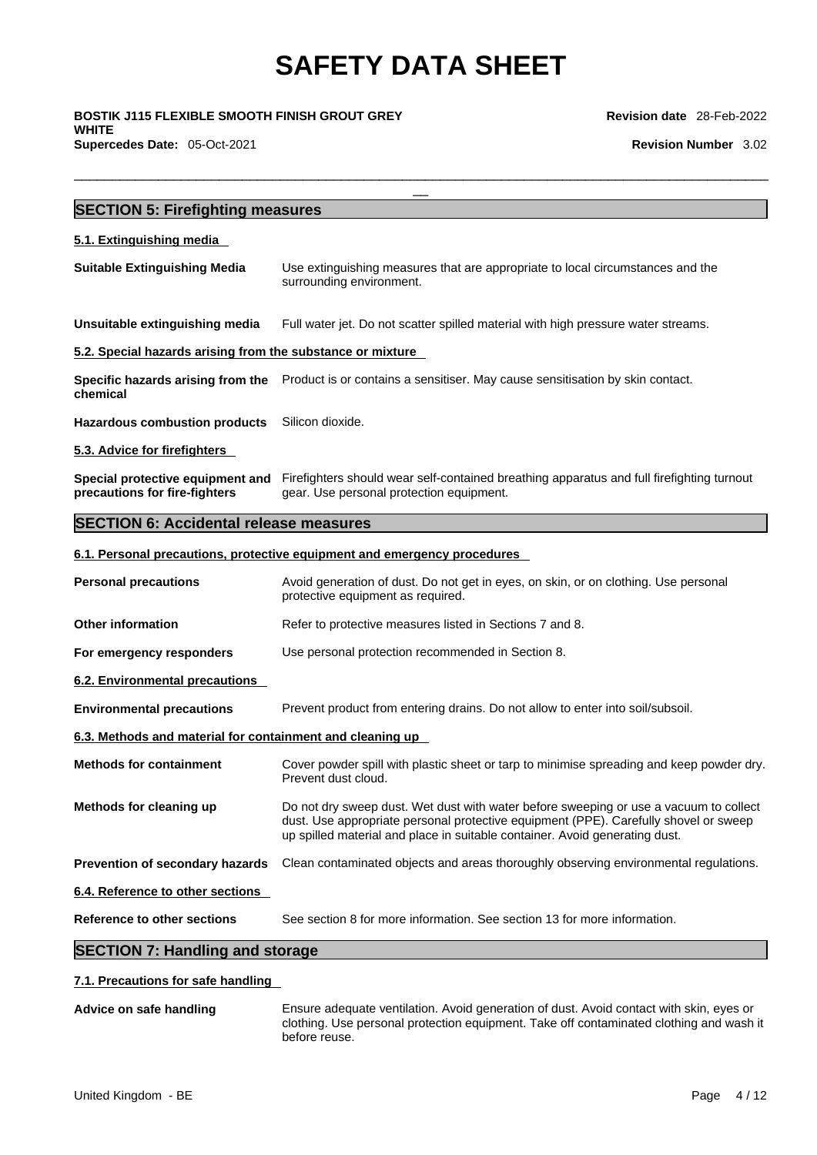\_\_ **BOSTIK J115 FLEXIBLE SMOOTH FINISH GROUT GREY WHITE Supercedes Date:** 05-Oct-2021 **Revision Number** 3.02

**Revision date** 28-Feb-2022

| <b>SECTION 5: Firefighting measures</b>                           |                                                                                                                                                                                                                                                              |
|-------------------------------------------------------------------|--------------------------------------------------------------------------------------------------------------------------------------------------------------------------------------------------------------------------------------------------------------|
| 5.1. Extinguishing media                                          |                                                                                                                                                                                                                                                              |
| <b>Suitable Extinguishing Media</b>                               | Use extinguishing measures that are appropriate to local circumstances and the<br>surrounding environment.                                                                                                                                                   |
| Unsuitable extinguishing media                                    | Full water jet. Do not scatter spilled material with high pressure water streams.                                                                                                                                                                            |
| 5.2. Special hazards arising from the substance or mixture        |                                                                                                                                                                                                                                                              |
| chemical                                                          | Specific hazards arising from the Product is or contains a sensitiser. May cause sensitisation by skin contact.                                                                                                                                              |
| <b>Hazardous combustion products</b>                              | Silicon dioxide.                                                                                                                                                                                                                                             |
| 5.3. Advice for firefighters                                      |                                                                                                                                                                                                                                                              |
| Special protective equipment and<br>precautions for fire-fighters | Firefighters should wear self-contained breathing apparatus and full firefighting turnout<br>gear. Use personal protection equipment.                                                                                                                        |
| <b>SECTION 6: Accidental release measures</b>                     |                                                                                                                                                                                                                                                              |
|                                                                   | 6.1. Personal precautions, protective equipment and emergency procedures                                                                                                                                                                                     |
| <b>Personal precautions</b>                                       | Avoid generation of dust. Do not get in eyes, on skin, or on clothing. Use personal<br>protective equipment as required.                                                                                                                                     |
| <b>Other information</b>                                          | Refer to protective measures listed in Sections 7 and 8.                                                                                                                                                                                                     |
| For emergency responders                                          | Use personal protection recommended in Section 8.                                                                                                                                                                                                            |
| 6.2. Environmental precautions                                    |                                                                                                                                                                                                                                                              |
| <b>Environmental precautions</b>                                  | Prevent product from entering drains. Do not allow to enter into soil/subsoil.                                                                                                                                                                               |
| 6.3. Methods and material for containment and cleaning up         |                                                                                                                                                                                                                                                              |
| <b>Methods for containment</b>                                    | Cover powder spill with plastic sheet or tarp to minimise spreading and keep powder dry.<br>Prevent dust cloud.                                                                                                                                              |
| Methods for cleaning up                                           | Do not dry sweep dust. Wet dust with water before sweeping or use a vacuum to collect<br>dust. Use appropriate personal protective equipment (PPE). Carefully shovel or sweep<br>up spilled material and place in suitable container. Avoid generating dust. |
| Prevention of secondary hazards                                   | Clean contaminated objects and areas thoroughly observing environmental regulations.                                                                                                                                                                         |
| 6.4. Reference to other sections                                  |                                                                                                                                                                                                                                                              |
| <b>Reference to other sections</b>                                | See section 8 for more information. See section 13 for more information.                                                                                                                                                                                     |

# **SECTION 7: Handling and storage**

### **7.1. Precautions for safe handling**

**Advice on safe handling** Ensure adequate ventilation. Avoid generation of dust. Avoid contact with skin, eyes or clothing. Use personal protection equipment. Take off contaminated clothing and wash it before reuse.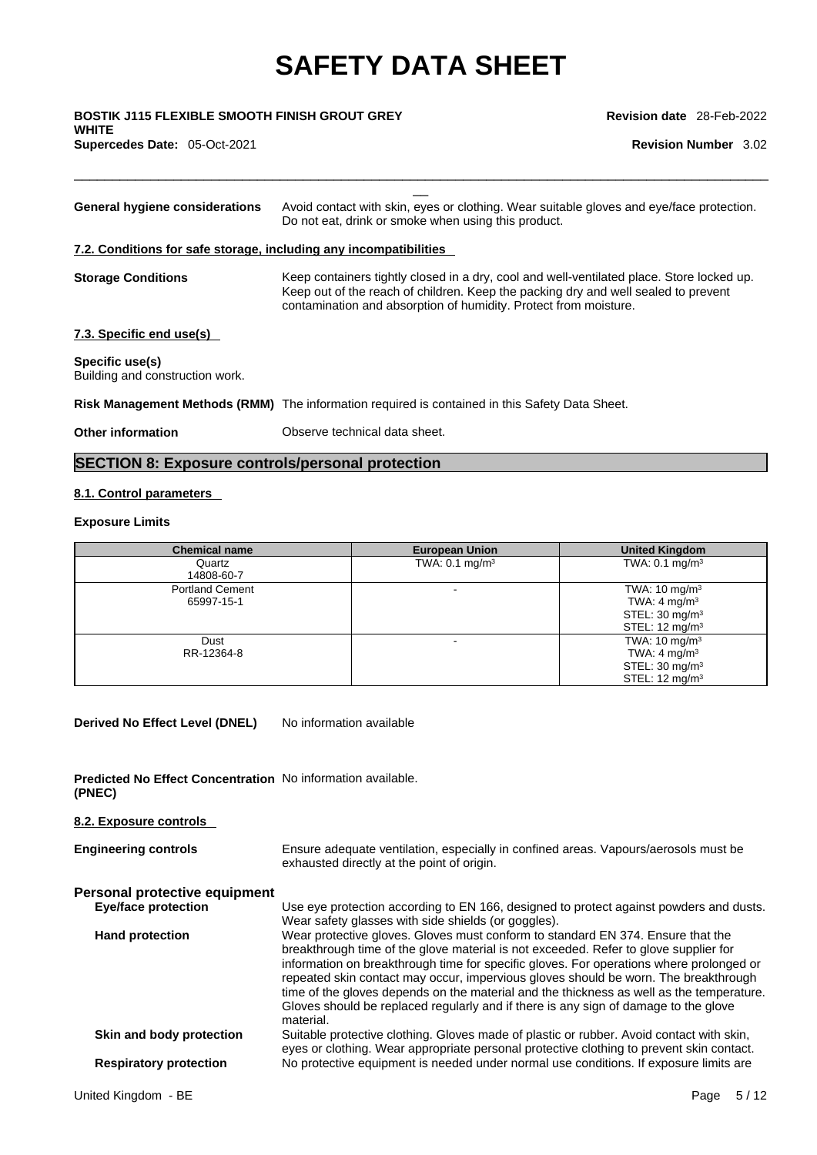$\Box$ 

\_\_ **BOSTIK J115 FLEXIBLE SMOOTH FINISH GROUT GREY WHITE Supercedes Date:** 05-Oct-2021 **Revision Number** 3.02

| General hygiene considerations                                    | Avoid contact with skin, eyes or clothing. Wear suitable gloves and eye/face protection.<br>Do not eat, drink or smoke when using this product.                                                                                                     |
|-------------------------------------------------------------------|-----------------------------------------------------------------------------------------------------------------------------------------------------------------------------------------------------------------------------------------------------|
| 7.2. Conditions for safe storage, including any incompatibilities |                                                                                                                                                                                                                                                     |
| <b>Storage Conditions</b>                                         | Keep containers tightly closed in a dry, cool and well-ventilated place. Store locked up.<br>Keep out of the reach of children. Keep the packing dry and well sealed to prevent<br>contamination and absorption of humidity. Protect from moisture. |
| 7.3. Specific end use(s)                                          |                                                                                                                                                                                                                                                     |
| Specific use(s)<br>Building and construction work.                |                                                                                                                                                                                                                                                     |
|                                                                   | Risk Management Methods (RMM) The information required is contained in this Safety Data Sheet.                                                                                                                                                      |
| Other information                                                 | Observe technical data sheet.                                                                                                                                                                                                                       |

# **SECTION 8: Exposure controls/personal protection**

### **8.1. Control parameters**

### **Exposure Limits**

| <b>Chemical name</b>                 | <b>European Union</b>     | <b>United Kingdom</b>                                                                                          |
|--------------------------------------|---------------------------|----------------------------------------------------------------------------------------------------------------|
| Quartz<br>14808-60-7                 | TWA: $0.1 \text{ mg/m}^3$ | TWA: $0.1 \text{ mg/m}^3$                                                                                      |
| <b>Portland Cement</b><br>65997-15-1 |                           | TWA: $10 \text{ mg/m}^3$<br>TWA: 4 mg/m <sup>3</sup><br>STEL: $30 \text{ mg/m}^3$<br>STEL: $12 \text{ mg/m}^3$ |
| Dust<br>RR-12364-8                   | -                         | TWA: $10 \text{ mg/m}^3$<br>TWA: 4 mg/m $3$<br>STEL: $30 \text{ mg/m}^3$<br>STEL: $12 \text{ mg/m}^3$          |

**Derived No Effect Level (DNEL)** No information available

**Predicted No Effect Concentration** No information available. **(PNEC)** 

**8.2. Exposure controls** 

| <b>Engineering controls</b>   | Ensure adequate ventilation, especially in confined areas. Vapours/aerosols must be<br>exhausted directly at the point of origin.                                                                                                                                                                                                                                                                                                                                                                                                                         |
|-------------------------------|-----------------------------------------------------------------------------------------------------------------------------------------------------------------------------------------------------------------------------------------------------------------------------------------------------------------------------------------------------------------------------------------------------------------------------------------------------------------------------------------------------------------------------------------------------------|
| Personal protective equipment |                                                                                                                                                                                                                                                                                                                                                                                                                                                                                                                                                           |
| <b>Eye/face protection</b>    | Use eye protection according to EN 166, designed to protect against powders and dusts.<br>Wear safety glasses with side shields (or goggles).                                                                                                                                                                                                                                                                                                                                                                                                             |
| <b>Hand protection</b>        | Wear protective gloves. Gloves must conform to standard EN 374. Ensure that the<br>breakthrough time of the glove material is not exceeded. Refer to glove supplier for<br>information on breakthrough time for specific gloves. For operations where prolonged or<br>repeated skin contact may occur, impervious gloves should be worn. The breakthrough<br>time of the gloves depends on the material and the thickness as well as the temperature.<br>Gloves should be replaced regularly and if there is any sign of damage to the glove<br>material. |
| Skin and body protection      | Suitable protective clothing. Gloves made of plastic or rubber. Avoid contact with skin,<br>eyes or clothing. Wear appropriate personal protective clothing to prevent skin contact.                                                                                                                                                                                                                                                                                                                                                                      |
| <b>Respiratory protection</b> | No protective equipment is needed under normal use conditions. If exposure limits are                                                                                                                                                                                                                                                                                                                                                                                                                                                                     |
|                               |                                                                                                                                                                                                                                                                                                                                                                                                                                                                                                                                                           |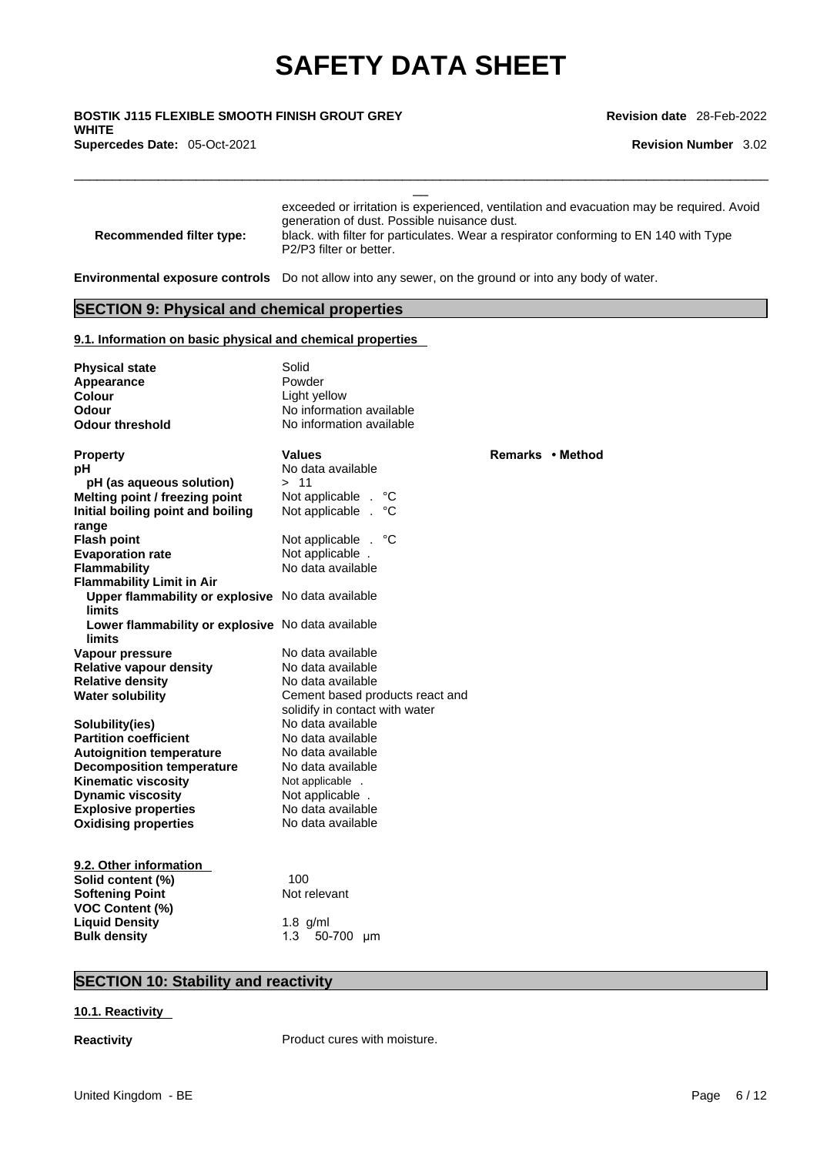$\Box$ 

\_\_ **BOSTIK J115 FLEXIBLE SMOOTH FINISH GROUT GREY WHITE Supercedes Date:** 05-Oct-2021 **Revision Number** 3.02

**Revision date** 28-Feb-2022

| <b>Recommended filter type:</b>                                                                       | generation of dust. Possible nuisance dust.<br>P <sub>2</sub> /P <sub>3</sub> filter or better. | exceeded or irritation is experienced, ventilation and evacuation may be required. Avoid<br>black. with filter for particulates. Wear a respirator conforming to EN 140 with Type |
|-------------------------------------------------------------------------------------------------------|-------------------------------------------------------------------------------------------------|-----------------------------------------------------------------------------------------------------------------------------------------------------------------------------------|
| Environmental exposure controls Do not allow into any sewer, on the ground or into any body of water. |                                                                                                 |                                                                                                                                                                                   |
| <b>SECTION 9: Physical and chemical properties</b>                                                    |                                                                                                 |                                                                                                                                                                                   |
| 9.1. Information on basic physical and chemical properties                                            |                                                                                                 |                                                                                                                                                                                   |
| <b>Physical state</b>                                                                                 | Solid                                                                                           |                                                                                                                                                                                   |
| Appearance                                                                                            | Powder                                                                                          |                                                                                                                                                                                   |
| Colour                                                                                                | Light yellow                                                                                    |                                                                                                                                                                                   |
| Odour                                                                                                 | No information available                                                                        |                                                                                                                                                                                   |
| <b>Odour threshold</b>                                                                                | No information available                                                                        |                                                                                                                                                                                   |
| <b>Property</b>                                                                                       | <b>Values</b>                                                                                   | Remarks • Method                                                                                                                                                                  |
| рH                                                                                                    | No data available                                                                               |                                                                                                                                                                                   |
| pH (as aqueous solution)                                                                              | >11                                                                                             |                                                                                                                                                                                   |
| Melting point / freezing point                                                                        | Not applicable .<br>°C                                                                          |                                                                                                                                                                                   |
| Initial boiling point and boiling                                                                     | Not applicable .<br>°C                                                                          |                                                                                                                                                                                   |
| range                                                                                                 |                                                                                                 |                                                                                                                                                                                   |
| <b>Flash point</b>                                                                                    | Not applicable . °C                                                                             |                                                                                                                                                                                   |
| <b>Evaporation rate</b>                                                                               | Not applicable.                                                                                 |                                                                                                                                                                                   |
| Flammability                                                                                          | No data available                                                                               |                                                                                                                                                                                   |
| <b>Flammability Limit in Air</b>                                                                      |                                                                                                 |                                                                                                                                                                                   |
| Upper flammability or explosive No data available<br>limits                                           |                                                                                                 |                                                                                                                                                                                   |
| Lower flammability or explosive No data available<br>limits                                           |                                                                                                 |                                                                                                                                                                                   |
| Vapour pressure                                                                                       | No data available                                                                               |                                                                                                                                                                                   |
| <b>Relative vapour density</b>                                                                        | No data available                                                                               |                                                                                                                                                                                   |
| <b>Relative density</b>                                                                               | No data available                                                                               |                                                                                                                                                                                   |
| Water solubility                                                                                      | Cement based products react and                                                                 |                                                                                                                                                                                   |
|                                                                                                       | solidify in contact with water                                                                  |                                                                                                                                                                                   |
| Solubility(ies)                                                                                       | No data available                                                                               |                                                                                                                                                                                   |
| <b>Partition coefficient</b>                                                                          | No data available                                                                               |                                                                                                                                                                                   |
| <b>Autoignition temperature</b>                                                                       | No data available                                                                               |                                                                                                                                                                                   |
| <b>Decomposition temperature</b>                                                                      | No data available                                                                               |                                                                                                                                                                                   |
| <b>Kinematic viscosity</b>                                                                            | Not applicable .                                                                                |                                                                                                                                                                                   |
| <b>Dynamic viscosity</b>                                                                              | Not applicable.                                                                                 |                                                                                                                                                                                   |
| <b>Explosive properties</b>                                                                           | No data available                                                                               |                                                                                                                                                                                   |
| <b>Oxidising properties</b>                                                                           | No data available                                                                               |                                                                                                                                                                                   |

| 9.2. Other information |                       |
|------------------------|-----------------------|
| Solid content (%)      | 100                   |
| <b>Softening Point</b> | Not relevant          |
| <b>VOC Content (%)</b> |                       |
| <b>Liquid Density</b>  | $1.8$ g/ml            |
| <b>Bulk density</b>    | 50-700<br>1.3<br>- um |

# **SECTION 10: Stability and reactivity**

#### **10.1. Reactivity**

**Reactivity Product cures with moisture.**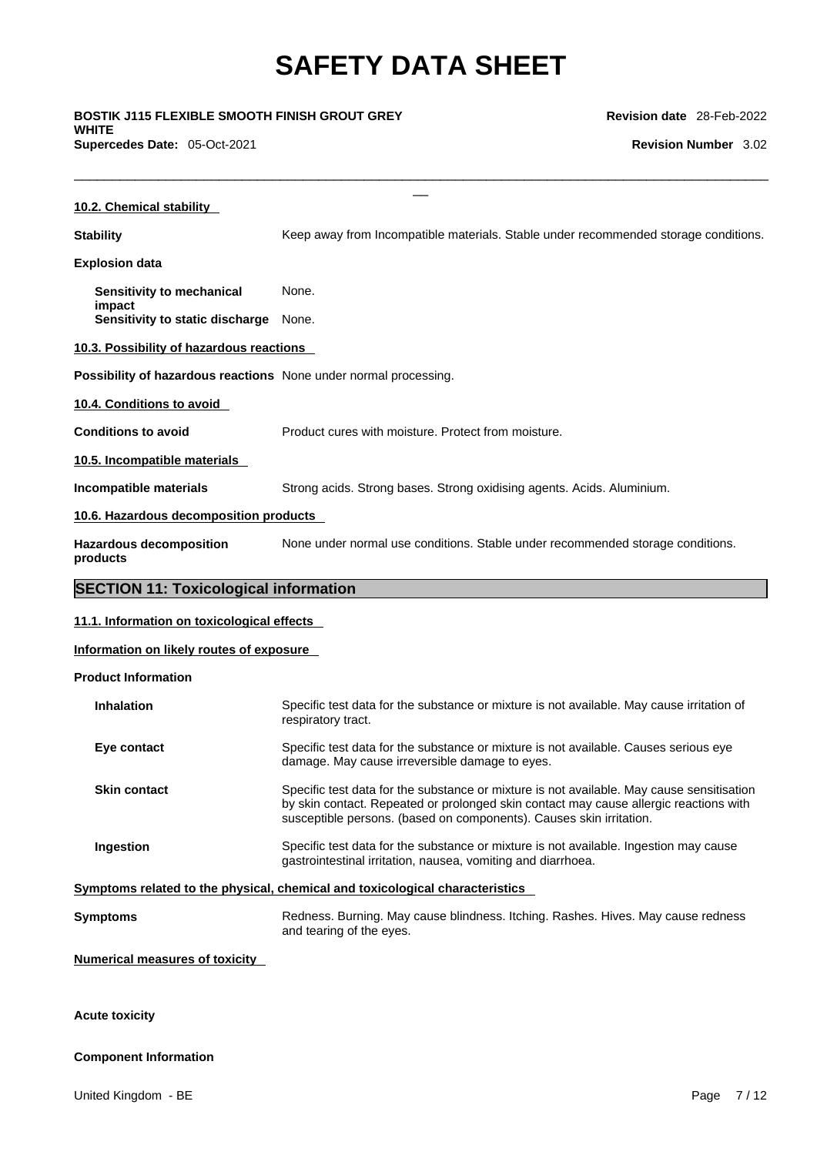**WHITE Supercedes Date:** 05-Oct-2021 **Revision Number** 3.02

| BOSTIK J115 FLEXIBLE SMOOTH FINISH GROUT GREY<br>WHITE           |                                                                                                                                        | <b>Revision date</b> 28-Feb-2022 |  |
|------------------------------------------------------------------|----------------------------------------------------------------------------------------------------------------------------------------|----------------------------------|--|
| Supercedes Date: 05-Oct-2021                                     |                                                                                                                                        | <b>Revision Number</b> 3.02      |  |
| 10.2. Chemical stability                                         |                                                                                                                                        |                                  |  |
| <b>Stability</b>                                                 | Keep away from Incompatible materials. Stable under recommended storage conditions.                                                    |                                  |  |
| <b>Explosion data</b>                                            |                                                                                                                                        |                                  |  |
| Sensitivity to mechanical                                        | None.                                                                                                                                  |                                  |  |
| impact<br>Sensitivity to static discharge                        | None.                                                                                                                                  |                                  |  |
| 10.3. Possibility of hazardous reactions                         |                                                                                                                                        |                                  |  |
| Possibility of hazardous reactions None under normal processing. |                                                                                                                                        |                                  |  |
| 10.4. Conditions to avoid                                        |                                                                                                                                        |                                  |  |
| <b>Conditions to avoid</b>                                       | Product cures with moisture. Protect from moisture.                                                                                    |                                  |  |
| 10.5. Incompatible materials                                     |                                                                                                                                        |                                  |  |
| <b>Incompatible materials</b>                                    | Strong acids. Strong bases. Strong oxidising agents. Acids. Aluminium.                                                                 |                                  |  |
| 10.6. Hazardous decomposition products                           |                                                                                                                                        |                                  |  |
| <b>Hazardous decomposition</b><br>products                       | None under normal use conditions. Stable under recommended storage conditions.                                                         |                                  |  |
| <b>SECTION 11: Toxicological information</b>                     |                                                                                                                                        |                                  |  |
| 11.1. Information on toxicological effects                       |                                                                                                                                        |                                  |  |
| Information on likely routes of exposure                         |                                                                                                                                        |                                  |  |
| <b>Product Information</b>                                       |                                                                                                                                        |                                  |  |
| <b>Inhalation</b>                                                | Specific test data for the substance or mixture is not available. May cause irritation of<br>respiratory tract.                        |                                  |  |
| Eye contact                                                      | Specific test data for the substance or mixture is not available. Causes serious eye<br>damage. May cause irreversible damage to eyes. |                                  |  |
|                                                                  |                                                                                                                                        |                                  |  |

| <b>Skin contact</b> | Specific test data for the substance or mixture is not available. May cause sensitisation |
|---------------------|-------------------------------------------------------------------------------------------|
|                     | by skin contact. Repeated or prolonged skin contact may cause allergic reactions with     |
|                     | susceptible persons. (based on components). Causes skin irritation.                       |
|                     |                                                                                           |

**Ingestion Specific test data for the substance or mixture is not available. Ingestion may cause** gastrointestinal irritation, nausea, vomiting and diarrhoea.

**Symptoms related to the physical, chemical and toxicological characteristics** 

**Symptoms** Redness. Burning. May cause blindness. Itching. Rashes. Hives. May cause redness and tearing of the eyes.

## **Numerical measures of toxicity**

### **Acute toxicity**

### **Component Information**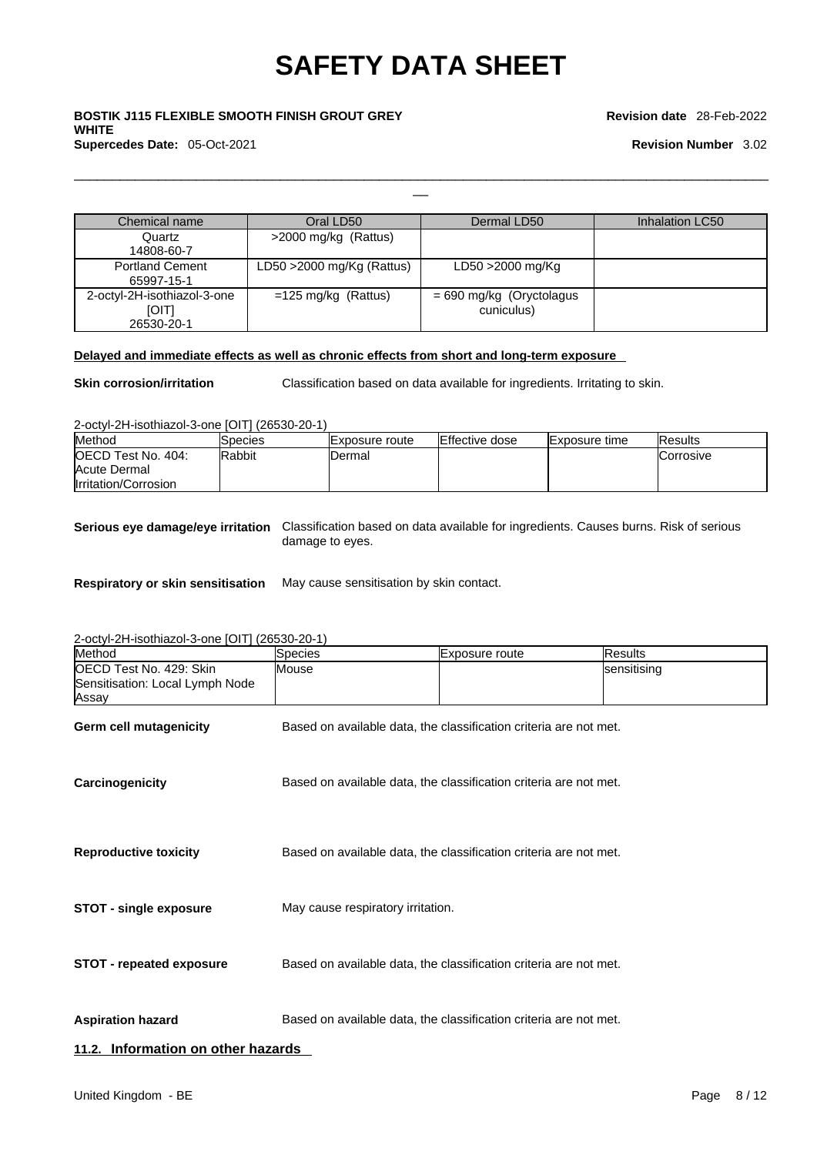# \_\_ **BOSTIK J115 FLEXIBLE SMOOTH FINISH GROUT GREY WHITE Supercedes Date:** 05-Oct-2021 **Revision Number** 3.02

**Revision date** 28-Feb-2022

| Chemical name                                             | Oral LD50                    | Dermal LD50                              | Inhalation LC50 |
|-----------------------------------------------------------|------------------------------|------------------------------------------|-----------------|
| Quartz<br>14808-60-7                                      | >2000 mg/kg (Rattus)         |                                          |                 |
| <b>Portland Cement</b><br>65997-15-1                      | LD50 $>$ 2000 mg/Kg (Rattus) | LD50 >2000 mg/Kg                         |                 |
| 2-octyl-2H-isothiazol-3-one<br><b>[OIT]</b><br>26530-20-1 | $=125$ mg/kg (Rattus)        | $= 690$ mg/kg (Oryctolagus<br>cuniculus) |                 |

### **Delayed and immediate effects as well as chronic effects from short and long-term exposure**

**Skin corrosion/irritation** Classification based on data available for ingredients. Irritating to skin.

 $\Box$ 

2-octyl-2H-isothiazol-3-one [OIT] (26530-20-1)

| Method                     | Species       | IExposure route | <b>Effective dose</b> | <b>Exposure time</b> | <b>IResults</b>  |
|----------------------------|---------------|-----------------|-----------------------|----------------------|------------------|
| <b>IOECD Test No. 404:</b> | <b>Rabbit</b> | Dermal          |                       |                      | <b>Corrosive</b> |
| Acute Dermal               |               |                 |                       |                      |                  |
| Irritation/Corrosion       |               |                 |                       |                      |                  |

**Serious eye damage/eye irritation** Classification based on data available for ingredients. Causes burns. Risk of serious damage to eyes.

**Respiratory or skin sensitisation** May cause sensitisation by skin contact.

2-octyl-2H-isothiazol-3-one [OIT] (26530-20-1)

| Method                                                              | Species                           | Exposure route                                                    | <b>Results</b> |
|---------------------------------------------------------------------|-----------------------------------|-------------------------------------------------------------------|----------------|
| OECD Test No. 429: Skin<br>Sensitisation: Local Lymph Node<br>Assay | Mouse                             |                                                                   | sensitising    |
| Germ cell mutagenicity                                              |                                   | Based on available data, the classification criteria are not met. |                |
| Carcinogenicity                                                     |                                   | Based on available data, the classification criteria are not met. |                |
| <b>Reproductive toxicity</b>                                        |                                   | Based on available data, the classification criteria are not met. |                |
| <b>STOT - single exposure</b>                                       | May cause respiratory irritation. |                                                                   |                |
| <b>STOT - repeated exposure</b>                                     |                                   | Based on available data, the classification criteria are not met. |                |
| <b>Aspiration hazard</b>                                            |                                   | Based on available data, the classification criteria are not met. |                |
| 11.2. Information on other hazards                                  |                                   |                                                                   |                |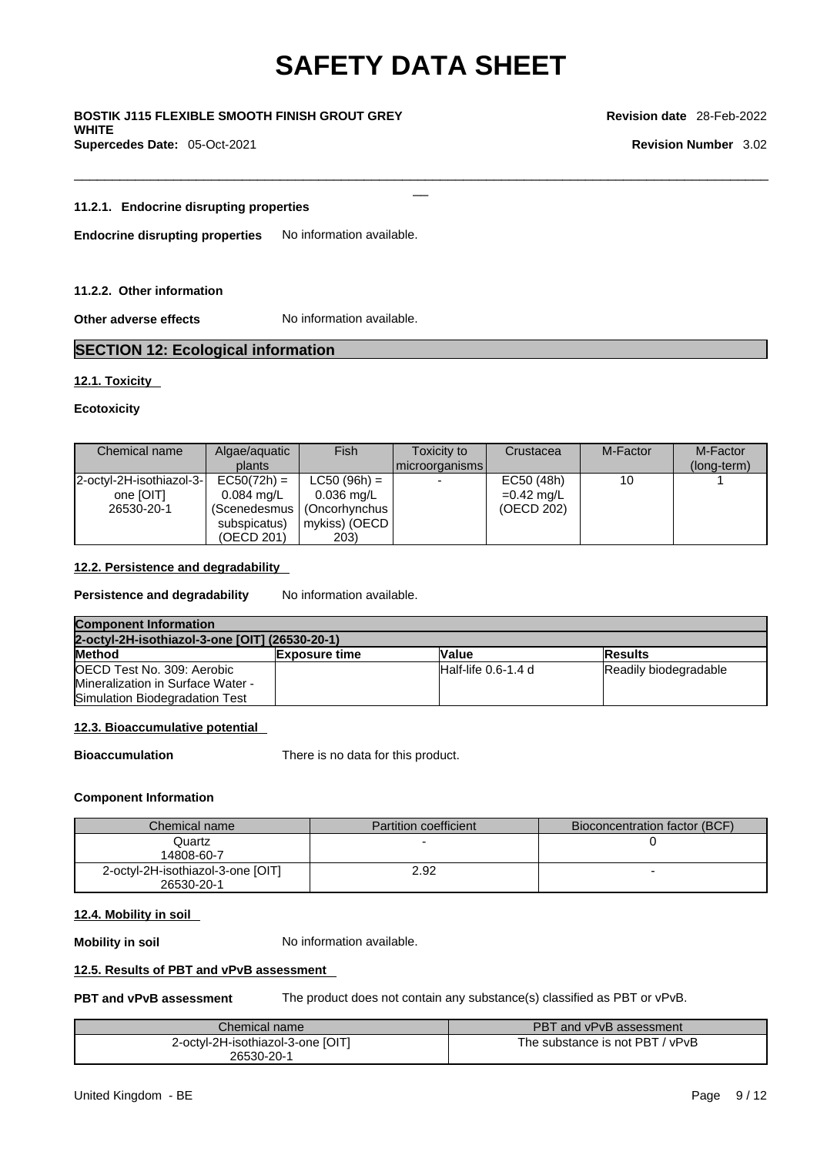$\Box$ 

\_\_ **BOSTIK J115 FLEXIBLE SMOOTH FINISH GROUT GREY WHITE Supercedes Date:** 05-Oct-2021 **Revision Number** 3.02

**Revision date** 28-Feb-2022

#### **11.2.1. Endocrine disrupting properties**

**Endocrine disrupting properties** No information available.

#### **11.2.2. Other information**

**Other adverse effects** No information available.

### **SECTION 12: Ecological information**

#### **12.1. Toxicity**

#### **Ecotoxicity**

| Chemical name            | Algae/aguatic        | Fish           | Toxicity to    | Crustacea    | M-Factor | M-Factor    |
|--------------------------|----------------------|----------------|----------------|--------------|----------|-------------|
|                          | plants               |                | microorganisms |              |          | (long-term) |
| 2-octyl-2H-isothiazol-3- | $EC50(72h) =$        | $LC50 (96h) =$ |                | EC50 (48h)   | 10       |             |
| one [OIT]                | $0.084 \text{ ma/L}$ | $0.036$ mg/L   |                | $=0.42$ mg/L |          |             |
| 26530-20-1               | (Scenedesmus         | (Oncorhynchus  |                | (OECD 202)   |          |             |
|                          | subspicatus)         | mykiss) (OECD  |                |              |          |             |
|                          | (OECD 201)           | 203)           |                |              |          |             |

### **12.2. Persistence and degradability**

**Persistence and degradability** No information available.

| <b>Component Information</b>                   |                      |                        |                       |
|------------------------------------------------|----------------------|------------------------|-----------------------|
| 2-octyl-2H-isothiazol-3-one [OIT] (26530-20-1) |                      |                        |                       |
| Method                                         | <b>Exposure time</b> | <b>Value</b>           | <b>Results</b>        |
| OECD Test No. 309: Aerobic                     |                      | $H$ alf-life 0.6-1.4 d | Readily biodegradable |
| <b>Mineralization in Surface Water -</b>       |                      |                        |                       |
| <b>Simulation Biodegradation Test</b>          |                      |                        |                       |

#### **12.3. Bioaccumulative potential**

**Bioaccumulation** There is no data for this product.

#### **Component Information**

| Chemical name                                   | <b>Partition coefficient</b> | Bioconcentration factor (BCF) |
|-------------------------------------------------|------------------------------|-------------------------------|
| Quartz<br>14808-60-7                            |                              |                               |
| 2-octyl-2H-isothiazol-3-one [OIT]<br>26530-20-1 | 2.92                         |                               |

#### **12.4. Mobility in soil**

**Mobility in soil** No information available.

#### **12.5. Results of PBT and vPvB assessment**

**PBT and vPvB assessment** The product does not contain any substance(s) classified as PBT or vPvB.

| Chemical name                     | PBT and vPvB assessment         |
|-----------------------------------|---------------------------------|
| 2-octyl-2H-isothiazol-3-one [OIT] | The substance is not PBT / vPvB |
| 26530-20-1                        |                                 |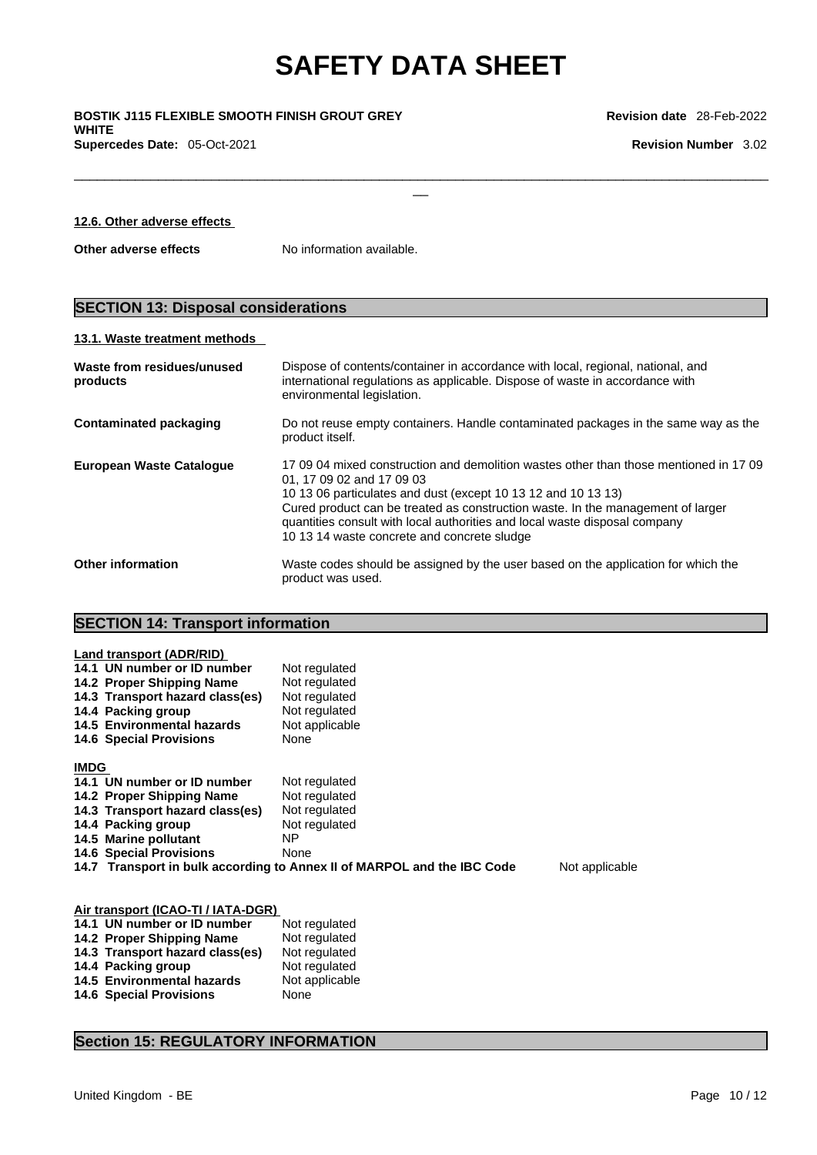$\Box$ 

\_\_ **BOSTIK J115 FLEXIBLE SMOOTH FINISH GROUT GREY WHITE Supercedes Date:** 05-Oct-2021 **Revision Number** 3.02

| 12.6. Other adverse effects |  |
|-----------------------------|--|
|                             |  |

**Other adverse effects** No information available.

# **SECTION 13: Disposal considerations**

#### **13.1. Waste treatment methods**

| Waste from residues/unused<br>products | Dispose of contents/container in accordance with local, regional, national, and<br>international regulations as applicable. Dispose of waste in accordance with<br>environmental legislation.                                                                                                                                                                                                       |
|----------------------------------------|-----------------------------------------------------------------------------------------------------------------------------------------------------------------------------------------------------------------------------------------------------------------------------------------------------------------------------------------------------------------------------------------------------|
| Contaminated packaging                 | Do not reuse empty containers. Handle contaminated packages in the same way as the<br>product itself.                                                                                                                                                                                                                                                                                               |
| <b>European Waste Catalogue</b>        | 17,09,04 mixed construction and demolition wastes other than those mentioned in 17,09<br>01, 17 09 02 and 17 09 03<br>10 13 06 particulates and dust (except 10 13 12 and 10 13 13)<br>Cured product can be treated as construction waste. In the management of larger<br>quantities consult with local authorities and local waste disposal company<br>10 13 14 waste concrete and concrete sludge |
| <b>Other information</b>               | Waste codes should be assigned by the user based on the application for which the<br>product was used.                                                                                                                                                                                                                                                                                              |

## **SECTION 14: Transport information**

| Land transport (ADR/RID)        |                                                                         |                |
|---------------------------------|-------------------------------------------------------------------------|----------------|
| 14.1 UN number or ID number     | Not regulated                                                           |                |
| 14.2 Proper Shipping Name       | Not regulated                                                           |                |
| 14.3 Transport hazard class(es) | Not regulated                                                           |                |
| 14.4 Packing group              | Not regulated                                                           |                |
| 14.5 Environmental hazards      | Not applicable                                                          |                |
| <b>14.6 Special Provisions</b>  | None                                                                    |                |
|                                 |                                                                         |                |
| <b>IMDG</b>                     |                                                                         |                |
| 14.1 UN number or ID number     | Not regulated                                                           |                |
| 14.2 Proper Shipping Name       | Not regulated                                                           |                |
| 14.3 Transport hazard class(es) | Not regulated                                                           |                |
| 14.4 Packing group              | Not regulated                                                           |                |
| 14.5 Marine pollutant           | ΝP                                                                      |                |
| <b>14.6 Special Provisions</b>  | None                                                                    |                |
|                                 | 14.7 Transport in bulk according to Annex II of MARPOL and the IBC Code | Not applicable |
|                                 |                                                                         |                |
|                                 |                                                                         |                |

| Air transport (ICAO-TI / IATA-DGR) |                |  |  |
|------------------------------------|----------------|--|--|
| 14.1 UN number or ID number        | Not regulated  |  |  |
| 14.2 Proper Shipping Name          | Not regulated  |  |  |
| 14.3 Transport hazard class(es)    | Not regulated  |  |  |
| 14.4 Packing group                 | Not regulated  |  |  |
| <b>14.5 Environmental hazards</b>  | Not applicable |  |  |
| <b>14.6 Special Provisions</b>     | None           |  |  |

### **Section 15: REGULATORY INFORMATION**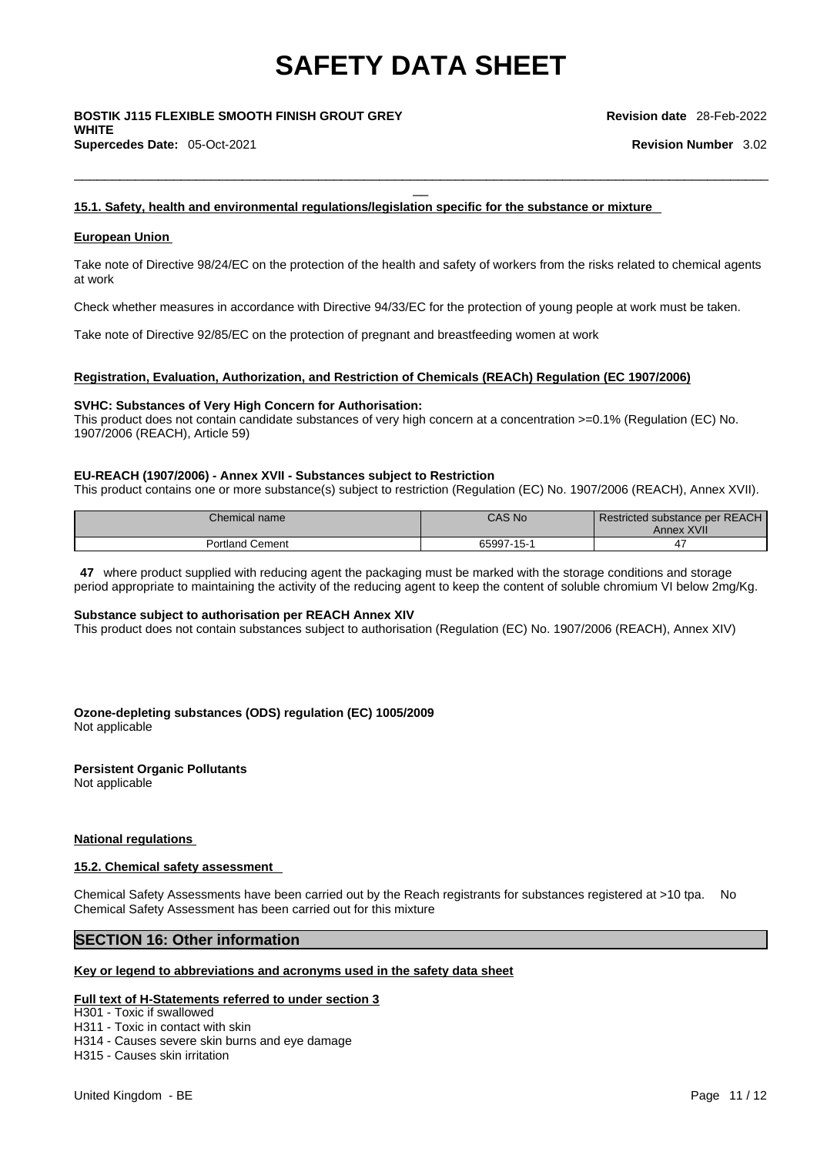# \_\_ **BOSTIK J115 FLEXIBLE SMOOTH FINISH GROUT GREY WHITE Supercedes Date:** 05-Oct-2021 **Revision Number** 3.02

#### **15.1. Safety, health and environmental regulations/legislation specific for the substance or mixture**

#### **European Union**

Take note of Directive 98/24/EC on the protection of the health and safety of workers from the risks related to chemical agents at work

 $\Box$ 

Check whether measures in accordance with Directive 94/33/EC for the protection of young people at work must be taken.

Take note of Directive 92/85/EC on the protection of pregnant and breastfeeding women at work

#### **Registration, Evaluation, Authorization, and Restriction of Chemicals (REACh) Regulation (EC 1907/2006)**

#### **SVHC: Substances of Very High Concern for Authorisation:**

This product does not contain candidate substances of very high concern at a concentration >=0.1% (Regulation (EC) No. 1907/2006 (REACH), Article 59)

#### **EU-REACH (1907/2006) - Annex XVII - Substances subject to Restriction**

This product contains one or more substance(s) subject to restriction (Regulation (EC) No. 1907/2006 (REACH), Annex XVII).

| Chemical name                  | <b>CAS No</b> | Restricted substance per REACH<br>: XVII<br>Annex |
|--------------------------------|---------------|---------------------------------------------------|
| Cement<br>ortland <sup>,</sup> | 65997<br>     |                                                   |

**47** where product supplied with reducing agent the packaging must be marked with the storage conditions and storage period appropriate to maintaining the activity of the reducing agent to keep the content of soluble chromium VI below 2mg/Kg.

#### **Substance subject to authorisation per REACH Annex XIV**

This product does not contain substances subject to authorisation (Regulation (EC) No. 1907/2006 (REACH), Annex XIV)

**Ozone-depleting substances (ODS) regulation (EC) 1005/2009**

Not applicable

**Persistent Organic Pollutants** Not applicable

#### **National regulations**

#### **15.2. Chemical safety assessment**

Chemical Safety Assessments have been carried out by the Reach registrants for substances registered at >10 tpa. No Chemical Safety Assessment has been carried out for this mixture

### **SECTION 16: Other information**

#### **Key or legend to abbreviations and acronyms used in the safety data sheet**

#### **Full text of H-Statements referred to under section 3**

H301 - Toxic if swallowed

H311 - Toxic in contact with skin

H314 - Causes severe skin burns and eye damage

H315 - Causes skin irritation